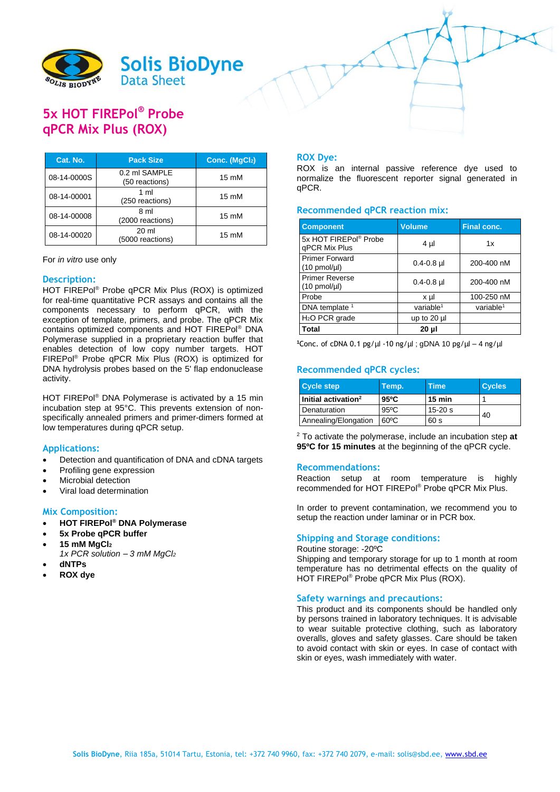

# **5x HOT FIREPol® Probe qPCR Mix Plus (ROX)**

| Cat. No.    | <b>Pack Size</b>                     | Conc. (MgCl2)   |
|-------------|--------------------------------------|-----------------|
| 08-14-0000S | 0.2 ml SAMPLE<br>(50 reactions)      | $15 \text{ mM}$ |
| 08-14-00001 | 1 ml<br>(250 reactions)              | $15 \text{ mM}$ |
| 08-14-00008 | 8 ml<br>(2000 reactions)             | $15 \text{ mM}$ |
| 08-14-00020 | $20 \mathrm{ml}$<br>(5000 reactions) | $15 \text{ mM}$ |

#### For *in vitro* use only

## **Description:**

HOT FIREPol® Probe qPCR Mix Plus (ROX) is optimized for real-time quantitative PCR assays and contains all the components necessary to perform qPCR, with the exception of template, primers, and probe. The qPCR Mix contains optimized components and HOT FIREPol® DNA Polymerase supplied in a proprietary reaction buffer that enables detection of low copy number targets. HOT FIREPol® Probe qPCR Mix Plus (ROX) is optimized for DNA hydrolysis probes based on the 5' flap endonuclease activity.

HOT FIREPol® DNA Polymerase is activated by a 15 min incubation step at 95°C. This prevents extension of nonspecifically annealed primers and primer-dimers formed at low temperatures during qPCR setup.

## **Applications:**

- Detection and quantification of DNA and cDNA targets
- Profiling gene expression
- Microbial detection
- Viral load determination

## **Mix Composition:**

- **HOT FIREPol® DNA Polymerase**
- **5x Probe qPCR buffer**
- **15 mM MgCl<sup>2</sup>**
	- *1x PCR solution – 3 mM MgCl<sup>2</sup>*
- **dNTPs**
- **ROX dye**

## **ROX Dye:**

ROX is an internal passive reference dye used to normalize the fluorescent reporter signal generated in qPCR.

## **Recommended qPCR reaction mix:**

| <b>Component</b>                                   | <b>Volume</b>  | <b>Final conc.</b> |  |
|----------------------------------------------------|----------------|--------------------|--|
| 5x HOT FIREPol® Probe<br>gPCR Mix Plus             | 4 µl           | 1x                 |  |
| <b>Primer Forward</b><br>$(10 \text{ pmol/}\mu l)$ | $0.4 - 0.8$ µ  | 200-400 nM         |  |
| <b>Primer Reverse</b><br>$(10 \text{ pmol/}\mu l)$ | $0.4 - 0.8$ µl | 200-400 nM         |  |
| Probe                                              | x µl           | 100-250 nM         |  |
| DNA template <sup>1</sup>                          | variable $1$   | variable $1$       |  |
| H <sub>2</sub> O PCR grade                         | up to 20 µl    |                    |  |
| Total                                              | 20 µl          |                    |  |

**<sup>1</sup>**Conc. of cDNA 0.1 pg/µl -10 ng/µl ; gDNA 10 pg/µl – 4 ng/µl

# **Recommended qPCR cycles:**

| <b>Cycle step</b>               | Temp.          | <b>Time</b>      | <b>Cycles</b> |
|---------------------------------|----------------|------------------|---------------|
| Initial activation <sup>2</sup> | 95°C           | $15 \text{ min}$ |               |
| Denaturation                    | $95^{\circ}$ C | $15 - 20$ s      | 40            |
| Annealing/Elongation            | $60^{\circ}$ C | 60 s             |               |

<sup>2</sup> To activate the polymerase, include an incubation step **at 95ºC for 15 minutes** at the beginning of the qPCR cycle.

#### **Recommendations:**

Reaction setup at room temperature is highly recommended for HOT FIREPol® Probe qPCR Mix Plus.

In order to prevent contamination, we recommend you to setup the reaction under laminar or in PCR box.

### **Shipping and Storage conditions:**

Routine storage: -20ºC Shipping and temporary storage for up to 1 month at room temperature has no detrimental effects on the quality of HOT FIREPol® Probe qPCR Mix Plus (ROX).

#### **Safety warnings and precautions:**

This product and its components should be handled only by persons trained in laboratory techniques. It is advisable to wear suitable protective clothing, such as laboratory overalls, gloves and safety glasses. Care should be taken to avoid contact with skin or eyes. In case of contact with skin or eyes, wash immediately with water.